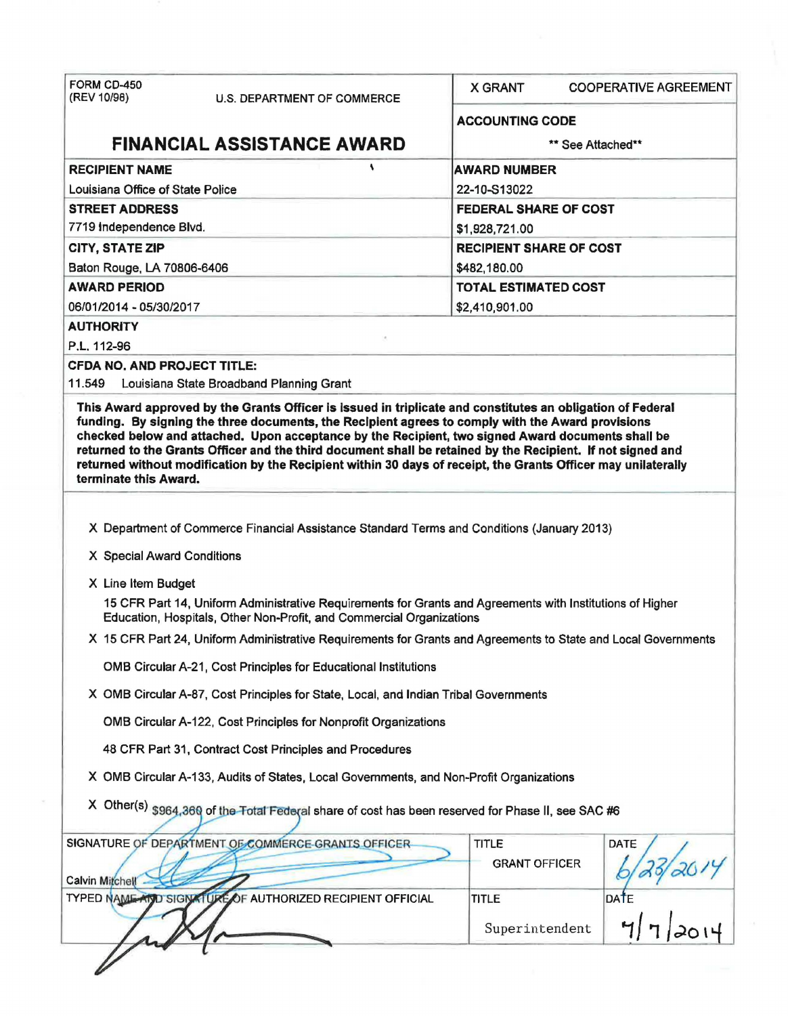| FORM CD-450<br>(REV 10/98)<br><b>U.S. DEPARTMENT OF COMMERCE</b>                                                                                                                                                                                      | <b>X GRANT</b><br><b>COOPERATIVE AGREEMENT</b> |  |  |  |  |
|-------------------------------------------------------------------------------------------------------------------------------------------------------------------------------------------------------------------------------------------------------|------------------------------------------------|--|--|--|--|
|                                                                                                                                                                                                                                                       | <b>ACCOUNTING CODE</b>                         |  |  |  |  |
| <b>FINANCIAL ASSISTANCE AWARD</b>                                                                                                                                                                                                                     | ** See Attached**                              |  |  |  |  |
| ١<br><b>RECIPIENT NAME</b>                                                                                                                                                                                                                            | <b>AWARD NUMBER</b>                            |  |  |  |  |
| Louisiana Office of State Police                                                                                                                                                                                                                      | 22-10-S13022                                   |  |  |  |  |
| <b>STREET ADDRESS</b>                                                                                                                                                                                                                                 | <b>FEDERAL SHARE OF COST</b>                   |  |  |  |  |
| 7719 Independence Blvd.                                                                                                                                                                                                                               | \$1,928,721.00                                 |  |  |  |  |
| <b>CITY, STATE ZIP</b>                                                                                                                                                                                                                                | <b>RECIPIENT SHARE OF COST</b>                 |  |  |  |  |
| Baton Rouge, LA 70806-6406                                                                                                                                                                                                                            | \$482,180.00                                   |  |  |  |  |
| <b>AWARD PERIOD</b>                                                                                                                                                                                                                                   | <b>TOTAL ESTIMATED COST</b>                    |  |  |  |  |
| 06/01/2014 - 05/30/2017                                                                                                                                                                                                                               | \$2,410,901.00                                 |  |  |  |  |
| <b>AUTHORITY</b>                                                                                                                                                                                                                                      |                                                |  |  |  |  |
| P.L. 112-96                                                                                                                                                                                                                                           |                                                |  |  |  |  |
| <b>CFDA NO, AND PROJECT TITLE:</b>                                                                                                                                                                                                                    |                                                |  |  |  |  |
| 11.549<br>Louisiana State Broadband Planning Grant<br>This Award approved by the Grants Officer is issued in triplicate and constitutes an obligation of Federal                                                                                      |                                                |  |  |  |  |
| returned to the Grants Officer and the third document shall be retained by the Recipient. If not signed and<br>returned without modification by the Recipient within 30 days of receipt, the Grants Officer may unilaterally<br>terminate this Award. |                                                |  |  |  |  |
| X Department of Commerce Financial Assistance Standard Terms and Conditions (January 2013)                                                                                                                                                            |                                                |  |  |  |  |
|                                                                                                                                                                                                                                                       |                                                |  |  |  |  |
| X Special Award Conditions                                                                                                                                                                                                                            |                                                |  |  |  |  |
| X Line Item Budget                                                                                                                                                                                                                                    |                                                |  |  |  |  |
| 15 CFR Part 14, Uniform Administrative Requirements for Grants and Agreements with Institutions of Higher<br>Education, Hospitals, Other Non-Profit, and Commercial Organizations                                                                     |                                                |  |  |  |  |
| X 15 CFR Part 24, Uniform Administrative Requirements for Grants and Agreements to State and Local Governments                                                                                                                                        |                                                |  |  |  |  |
| OMB Circular A-21, Cost Principles for Educational Institutions                                                                                                                                                                                       |                                                |  |  |  |  |
| X OMB Circular A-87, Cost Principles for State, Local, and Indian Tribal Governments                                                                                                                                                                  |                                                |  |  |  |  |
| OMB Circular A-122, Cost Principles for Nonprofit Organizations                                                                                                                                                                                       |                                                |  |  |  |  |
| 48 CFR Part 31, Contract Cost Principles and Procedures                                                                                                                                                                                               |                                                |  |  |  |  |
| X OMB Circular A-133, Audits of States, Local Governments, and Non-Profit Organizations                                                                                                                                                               |                                                |  |  |  |  |
| X Other(s) \$964,360 of the Total Federal share of cost has been reserved for Phase II, see SAC #6                                                                                                                                                    |                                                |  |  |  |  |
| SIGNATURE OF DEPARTMENT OF COMMERCE GRANTS OFFICER                                                                                                                                                                                                    | TITLE<br>DATE                                  |  |  |  |  |
| Calvin Mitchell                                                                                                                                                                                                                                       | <b>GRANT OFFICER</b>                           |  |  |  |  |
| TYPED NAME AND SIGNATURE OF AUTHORIZED RECIPIENT OFFICIAL                                                                                                                                                                                             | $\frac{9}{207}$<br><b>DATE</b><br><b>TITLE</b> |  |  |  |  |
|                                                                                                                                                                                                                                                       | Superintendent                                 |  |  |  |  |
|                                                                                                                                                                                                                                                       |                                                |  |  |  |  |